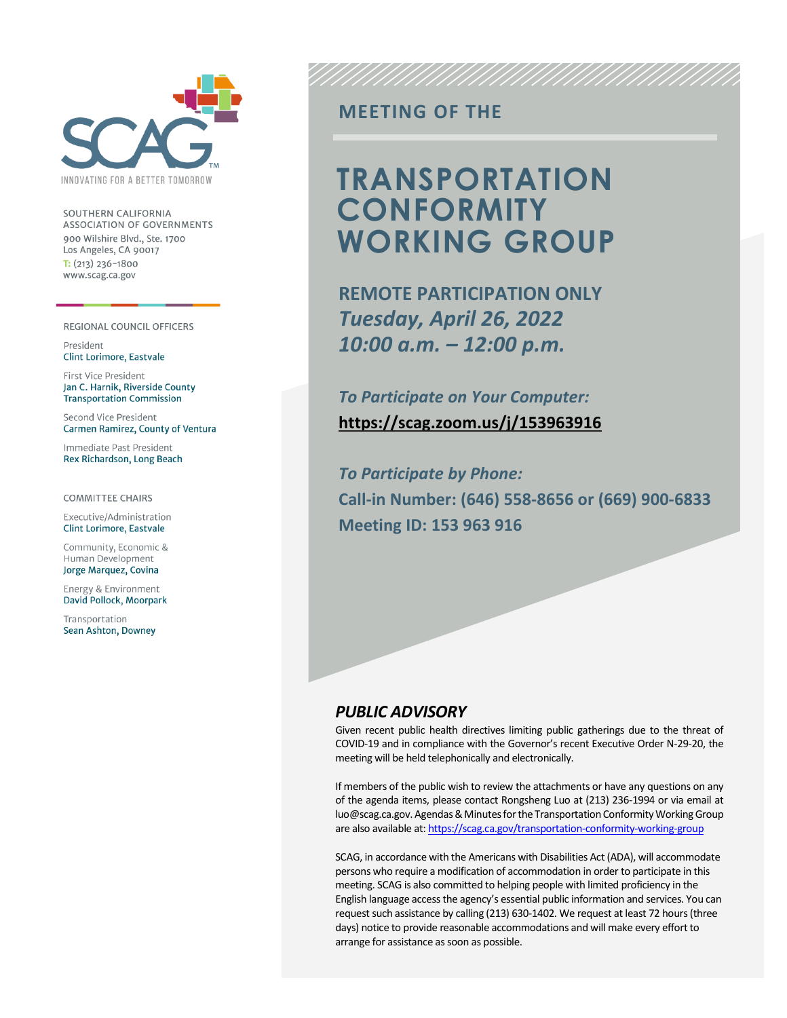

SOUTHERN CALIFORNIA **ASSOCIATION OF GOVERNMENTS** 900 Wilshire Blvd., Ste. 1700 Los Angeles, CA 90017  $T: (213)$  236-1800 www.scag.ca.gov

#### REGIONAL COUNCIL OFFICERS

President **Clint Lorimore, Eastvale** 

First Vice President Jan C. Harnik, Riverside County **Transportation Commission** 

Second Vice President Carmen Ramirez, County of Ventura

Immediate Past President Rex Richardson, Long Beach

**COMMITTEE CHAIRS** 

Executive/Administration **Clint Lorimore, Eastvale** 

Community, Economic & Human Development Jorge Marquez, Covina

Energy & Environment David Pollock, Moorpark

Transportation Sean Ashton, Downey

### **MEETING OF THE**

## **TRANSPORTATION CONFORMITY WORKING GROUP**

UNNINININININ

**REMOTE PARTICIPATION ONLY** *Tuesday, April 26, 2022 10:00 a.m. – 12:00 p.m.*

*To Participate on Your Computer:* **<https://scag.zoom.us/j/153963916>**

*To Participate by Phone:* **Call-in Number: (646) 558-8656 or (669) 900-6833 Meeting ID: 153 963 916**

### *PUBLIC ADVISORY*

Given recent public health directives limiting public gatherings due to the threat of COVID-19 and in compliance with the Governor's recent Executive Order N-29-20, the meeting will be held telephonically and electronically.

If members of the public wish to review the attachments or have any questions on any of the agenda items, please contact Rongsheng Luo at (213) 236-1994 or via email at luo@scag.ca.gov. Agendas & Minutes for the Transportation Conformity Working Group are also available at[: https://scag.ca.gov/transportation-conformity-working-group](https://scag.ca.gov/transportation-conformity-working-group)

SCAG, in accordance with the Americans with Disabilities Act (ADA), will accommodate persons who require a modification of accommodation in order to participate in this meeting. SCAG is also committed to helping people with limited proficiency in the English language access the agency's essential public information and services. You can request such assistance by calling (213) 630-1402. We request at least 72 hours (three days) notice to provide reasonable accommodations and will make every effort to arrange for assistance as soon as possible.